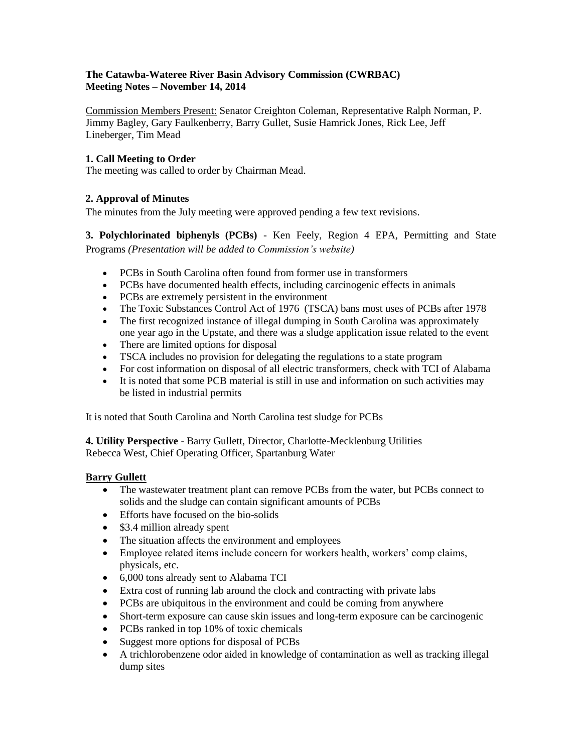## **The Catawba-Wateree River Basin Advisory Commission (CWRBAC) Meeting Notes – November 14, 2014**

Commission Members Present: Senator Creighton Coleman, Representative Ralph Norman, P. Jimmy Bagley, Gary Faulkenberry, Barry Gullet, Susie Hamrick Jones, Rick Lee, Jeff Lineberger, Tim Mead

# **1. Call Meeting to Order**

The meeting was called to order by Chairman Mead.

# **2. Approval of Minutes**

The minutes from the July meeting were approved pending a few text revisions.

**3. Polychlorinated biphenyls (PCBs)** - Ken Feely, Region 4 EPA, Permitting and State Programs *(Presentation will be added to Commission's website)*

- PCBs in South Carolina often found from former use in transformers
- PCBs have documented health effects, including carcinogenic effects in animals
- PCBs are extremely persistent in the environment
- The Toxic Substances Control Act of 1976 (TSCA) bans most uses of PCBs after 1978
- The first recognized instance of illegal dumping in South Carolina was approximately one year ago in the Upstate, and there was a sludge application issue related to the event
- There are limited options for disposal
- TSCA includes no provision for delegating the regulations to a state program
- For cost information on disposal of all electric transformers, check with TCI of Alabama
- It is noted that some PCB material is still in use and information on such activities may be listed in industrial permits

It is noted that South Carolina and North Carolina test sludge for PCBs

**4. Utility Perspective** - Barry Gullett, Director, Charlotte-Mecklenburg Utilities Rebecca West, Chief Operating Officer, Spartanburg Water

### **Barry Gullett**

- The wastewater treatment plant can remove PCBs from the water, but PCBs connect to solids and the sludge can contain significant amounts of PCBs
- Efforts have focused on the bio-solids
- \$3.4 million already spent
- The situation affects the environment and employees
- Employee related items include concern for workers health, workers' comp claims, physicals, etc.
- 6,000 tons already sent to Alabama TCI
- Extra cost of running lab around the clock and contracting with private labs
- PCBs are ubiquitous in the environment and could be coming from anywhere
- Short-term exposure can cause skin issues and long-term exposure can be carcinogenic
- PCBs ranked in top 10% of toxic chemicals
- Suggest more options for disposal of PCBs
- A trichlorobenzene odor aided in knowledge of contamination as well as tracking illegal dump sites